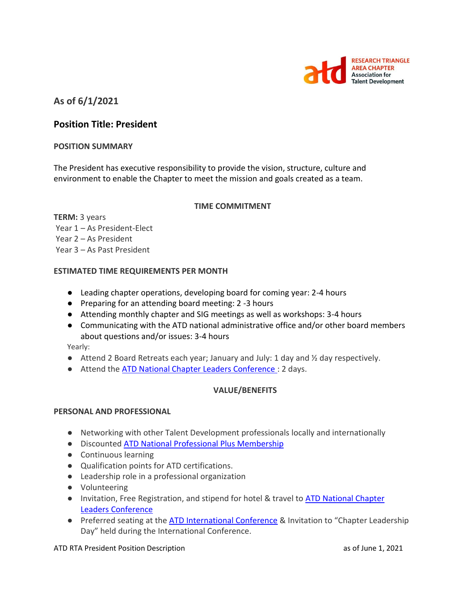

# **As of 6/1/2021**

## **Position Title: President**

#### **POSITION SUMMARY**

The President has executive responsibility to provide the vision, structure, culture and environment to enable the Chapter to meet the mission and goals created as a team.

#### **TIME COMMITMENT**

**TERM:** 3 years Year 1 – As President-Elect Year 2 – As President Year 3 – As Past President

#### **ESTIMATED TIME REQUIREMENTS PER MONTH**

- Leading chapter operations, developing board for coming year: 2-4 hours
- Preparing for an attending board meeting: 2 -3 hours
- Attending monthly chapter and SIG meetings as well as workshops: 3-4 hours
- Communicating with the ATD national administrative office and/or other board members about questions and/or issues: 3-4 hours

Yearly:

- $\bullet$  Attend 2 Board Retreats each year; January and July: 1 day and  $\frac{1}{2}$  day respectively.
- Attend the [ATD National Chapter Leaders Conference :](https://events.td.org/Chapter-Leaders-Conference) 2 days.

### **VALUE/BENEFITS**

### **PERSONAL AND PROFESSIONAL**

- Networking with other Talent Development professionals locally and internationally
- Discounted [ATD National Professional Plus Membership](https://checkout.td.org/Membership)
- Continuous learning
- Qualification points for ATD certifications.
- Leadership role in a professional organization
- Volunteering
- Invitation, Free Registration, and stipend for hotel & travel to ATD National Chapter [Leaders Conference](https://events.td.org/Chapter-Leaders-Conference)
- Preferred seating at the [ATD International Conference](https://www.td.org/events) & Invitation to "Chapter Leadership Day" held during the International Conference.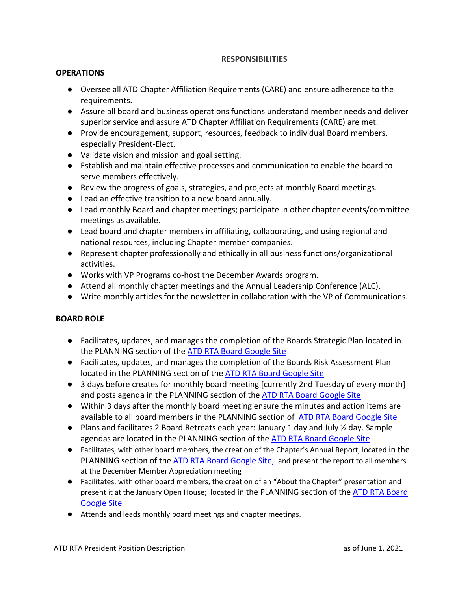### **RESPONSIBILITIES**

#### **OPERATIONS**

- Oversee all ATD Chapter Affiliation Requirements (CARE) and ensure adherence to the requirements.
- Assure all board and business operations functions understand member needs and deliver superior service and assure ATD Chapter Affiliation Requirements (CARE) are met.
- Provide encouragement, support, resources, feedback to individual Board members, especially President-Elect.
- Validate vision and mission and goal setting.
- Establish and maintain effective processes and communication to enable the board to serve members effectively.
- Review the progress of goals, strategies, and projects at monthly Board meetings.
- Lead an effective transition to a new board annually.
- Lead monthly Board and chapter meetings; participate in other chapter events/committee meetings as available.
- Lead board and chapter members in affiliating, collaborating, and using regional and national resources, including Chapter member companies.
- Represent chapter professionally and ethically in all business functions/organizational activities.
- Works with VP Programs co-host the December Awards program.
- Attend all monthly chapter meetings and the Annual Leadership Conference (ALC).
- Write monthly articles for the newsletter in collaboration with the VP of Communications.

### **BOARD ROLE**

- Facilitates, updates, and manages the completion of the Boards Strategic Plan located in the PLANNING section of the [ATD RTA Board Google Site](https://sites.google.com/site/rtaboardofdirectors/home)
- Facilitates, updates, and manages the completion of the Boards Risk Assessment Plan located in the PLANNING section of the [ATD RTA Board Google Site](https://sites.google.com/site/rtaboardofdirectors/home)
- 3 days before creates for monthly board meeting [currently 2nd Tuesday of every month] and posts agenda in the PLANNING section of the [ATD RTA Board Google Site](https://sites.google.com/site/rtaboardofdirectors/home)
- Within 3 days after the monthly board meeting ensure the minutes and action items are available to all board members in the PLANNING section of [ATD RTA Board Google Site](https://sites.google.com/site/rtaboardofdirectors/home)
- Plans and facilitates 2 Board Retreats each year: January 1 day and July  $\frac{1}{2}$  day. Sample agendas are located in the PLANNING section of the [ATD RTA Board Google Site](https://sites.google.com/site/rtaboardofdirectors/home)
- Facilitates, with other board members, the creation of the Chapter's Annual Report, located in the PLANNING section of the [ATD RTA Board Google Site,](https://sites.google.com/site/rtaboardofdirectors/home) and present the report to all members at the December Member Appreciation meeting
- Facilitates, with other board members, the creation of an "About the Chapter" presentation and present it at the January Open House; located in the PLANNING section of the ATD RTA Board [Google Site](https://sites.google.com/site/rtaboardofdirectors/home)
- Attends and leads monthly board meetings and chapter meetings.